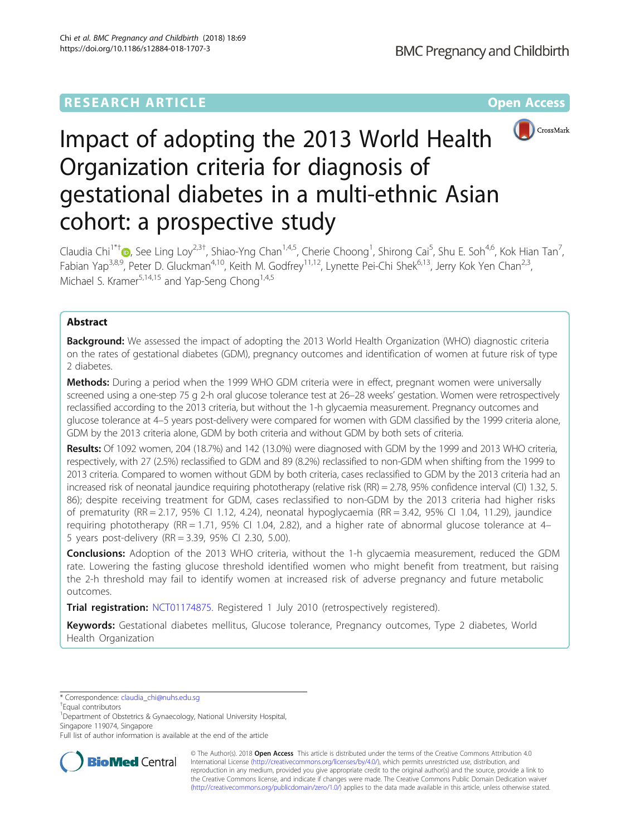# **RESEARCH ARTICLE Example 2014 12:30 The Contract of Contract ACCESS**



# Impact of adopting the 2013 World Health Organization criteria for diagnosis of gestational diabetes in a multi-ethnic Asian cohort: a prospective study

Claudia Chi<sup>1\*†</sup>®, See Ling Loy<sup>2,3†</sup>, Shiao-Yng Chan<sup>1,4,5</sup>, Cherie Choong<sup>1</sup>, Shirong Cai<sup>5</sup>, Shu E. Soh<sup>4,6</sup>, Kok Hian Tan<sup>7</sup> , Fabian Yap<sup>3,8,9</sup>, Peter D. Gluckman<sup>4,10</sup>, Keith M. Godfrey<sup>11,12</sup>, Lynette Pei-Chi Shek<sup>6,13</sup>, Jerry Kok Yen Chan<sup>2,3</sup>, Michael S. Kramer<sup>5,14,15</sup> and Yap-Seng Chong<sup>1,4,5</sup>

# Abstract

**Background:** We assessed the impact of adopting the 2013 World Health Organization (WHO) diagnostic criteria on the rates of gestational diabetes (GDM), pregnancy outcomes and identification of women at future risk of type 2 diabetes.

Methods: During a period when the 1999 WHO GDM criteria were in effect, pregnant women were universally screened using a one-step 75 g 2-h oral glucose tolerance test at 26–28 weeks' gestation. Women were retrospectively reclassified according to the 2013 criteria, but without the 1-h glycaemia measurement. Pregnancy outcomes and glucose tolerance at 4–5 years post-delivery were compared for women with GDM classified by the 1999 criteria alone, GDM by the 2013 criteria alone, GDM by both criteria and without GDM by both sets of criteria.

Results: Of 1092 women, 204 (18.7%) and 142 (13.0%) were diagnosed with GDM by the 1999 and 2013 WHO criteria, respectively, with 27 (2.5%) reclassified to GDM and 89 (8.2%) reclassified to non-GDM when shifting from the 1999 to 2013 criteria. Compared to women without GDM by both criteria, cases reclassified to GDM by the 2013 criteria had an increased risk of neonatal jaundice requiring phototherapy (relative risk (RR) = 2.78, 95% confidence interval (CI) 1.32, 5. 86); despite receiving treatment for GDM, cases reclassified to non-GDM by the 2013 criteria had higher risks of prematurity (RR = 2.17, 95% CI 1.12, 4.24), neonatal hypoglycaemia (RR = 3.42, 95% CI 1.04, 11.29), jaundice requiring phototherapy (RR = 1.71, 95% CI 1.04, 2.82), and a higher rate of abnormal glucose tolerance at 4– 5 years post-delivery (RR = 3.39, 95% CI 2.30, 5.00).

**Conclusions:** Adoption of the 2013 WHO criteria, without the 1-h glycaemia measurement, reduced the GDM rate. Lowering the fasting glucose threshold identified women who might benefit from treatment, but raising the 2-h threshold may fail to identify women at increased risk of adverse pregnancy and future metabolic outcomes.

Trial registration: [NCT01174875](https://clinicaltrials.gov/ct2/show/NCT01174875?term=01174875&cntry=SG&rank=1). Registered 1 July 2010 (retrospectively registered).

Keywords: Gestational diabetes mellitus, Glucose tolerance, Pregnancy outcomes, Type 2 diabetes, World Health Organization

\* Correspondence: [claudia\\_chi@nuhs.edu.sg](mailto:claudia_chi@nuhs.edu.sg) †

Equal contributors

<sup>1</sup> Department of Obstetrics & Gynaecology, National University Hospital, Singapore 119074, Singapore

Full list of author information is available at the end of the article



© The Author(s). 2018 Open Access This article is distributed under the terms of the Creative Commons Attribution 4.0 International License [\(http://creativecommons.org/licenses/by/4.0/](http://creativecommons.org/licenses/by/4.0/)), which permits unrestricted use, distribution, and reproduction in any medium, provided you give appropriate credit to the original author(s) and the source, provide a link to the Creative Commons license, and indicate if changes were made. The Creative Commons Public Domain Dedication waiver [\(http://creativecommons.org/publicdomain/zero/1.0/](http://creativecommons.org/publicdomain/zero/1.0/)) applies to the data made available in this article, unless otherwise stated.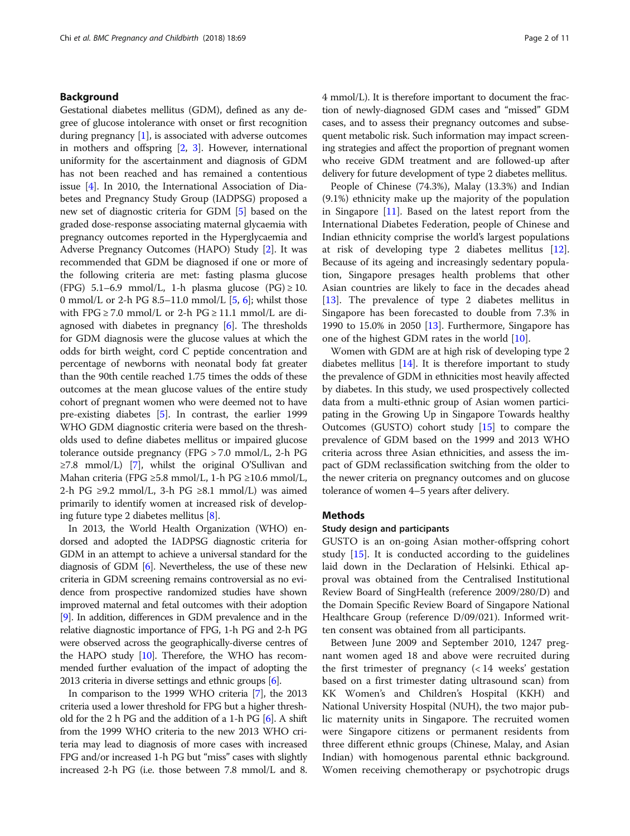# Background

Gestational diabetes mellitus (GDM), defined as any degree of glucose intolerance with onset or first recognition during pregnancy  $[1]$  $[1]$ , is associated with adverse outcomes in mothers and offspring [\[2](#page-9-0), [3](#page-9-0)]. However, international uniformity for the ascertainment and diagnosis of GDM has not been reached and has remained a contentious issue [[4](#page-9-0)]. In 2010, the International Association of Diabetes and Pregnancy Study Group (IADPSG) proposed a new set of diagnostic criteria for GDM [\[5](#page-9-0)] based on the graded dose-response associating maternal glycaemia with pregnancy outcomes reported in the Hyperglycaemia and Adverse Pregnancy Outcomes (HAPO) Study [\[2](#page-9-0)]. It was recommended that GDM be diagnosed if one or more of the following criteria are met: fasting plasma glucose (FPG) 5.1–6.9 mmol/L, 1-h plasma glucose (PG)  $\geq$  10. 0 mmol/L or 2-h PG 8.[5](#page-9-0)–11.0 mmol/L  $[5, 6]$  $[5, 6]$  $[5, 6]$ ; whilst those with FPG  $\geq$  7.0 mmol/L or 2-h PG  $\geq$  11.1 mmol/L are diagnosed with diabetes in pregnancy [\[6\]](#page-10-0). The thresholds for GDM diagnosis were the glucose values at which the odds for birth weight, cord C peptide concentration and percentage of newborns with neonatal body fat greater than the 90th centile reached 1.75 times the odds of these outcomes at the mean glucose values of the entire study cohort of pregnant women who were deemed not to have pre-existing diabetes [\[5\]](#page-9-0). In contrast, the earlier 1999 WHO GDM diagnostic criteria were based on the thresholds used to define diabetes mellitus or impaired glucose tolerance outside pregnancy (FPG > 7.0 mmol/L, 2-h PG  $\geq$ [7](#page-10-0).8 mmol/L) [7], whilst the original O'Sullivan and Mahan criteria (FPG ≥5.8 mmol/L, 1-h PG ≥10.6 mmol/L, 2-h PG ≥9.2 mmol/L, 3-h PG ≥8.1 mmol/L) was aimed primarily to identify women at increased risk of developing future type 2 diabetes mellitus [\[8\]](#page-10-0).

In 2013, the World Health Organization (WHO) endorsed and adopted the IADPSG diagnostic criteria for GDM in an attempt to achieve a universal standard for the diagnosis of GDM [\[6](#page-10-0)]. Nevertheless, the use of these new criteria in GDM screening remains controversial as no evidence from prospective randomized studies have shown improved maternal and fetal outcomes with their adoption [[9](#page-10-0)]. In addition, differences in GDM prevalence and in the relative diagnostic importance of FPG, 1-h PG and 2-h PG were observed across the geographically-diverse centres of the HAPO study [\[10](#page-10-0)]. Therefore, the WHO has recommended further evaluation of the impact of adopting the 2013 criteria in diverse settings and ethnic groups [[6](#page-10-0)].

In comparison to the 1999 WHO criteria [\[7](#page-10-0)], the 2013 criteria used a lower threshold for FPG but a higher threshold for the 2 h PG and the addition of a 1-h PG [\[6](#page-10-0)]. A shift from the 1999 WHO criteria to the new 2013 WHO criteria may lead to diagnosis of more cases with increased FPG and/or increased 1-h PG but "miss" cases with slightly increased 2-h PG (i.e. those between 7.8 mmol/L and 8. 4 mmol/L). It is therefore important to document the fraction of newly-diagnosed GDM cases and "missed" GDM cases, and to assess their pregnancy outcomes and subsequent metabolic risk. Such information may impact screening strategies and affect the proportion of pregnant women who receive GDM treatment and are followed-up after delivery for future development of type 2 diabetes mellitus.

People of Chinese (74.3%), Malay (13.3%) and Indian (9.1%) ethnicity make up the majority of the population in Singapore [\[11](#page-10-0)]. Based on the latest report from the International Diabetes Federation, people of Chinese and Indian ethnicity comprise the world's largest populations at risk of developing type 2 diabetes mellitus [\[12](#page-10-0)]. Because of its ageing and increasingly sedentary population, Singapore presages health problems that other Asian countries are likely to face in the decades ahead [[13\]](#page-10-0). The prevalence of type 2 diabetes mellitus in Singapore has been forecasted to double from 7.3% in 1990 to 15.0% in 2050 [[13](#page-10-0)]. Furthermore, Singapore has one of the highest GDM rates in the world [[10](#page-10-0)].

Women with GDM are at high risk of developing type 2 diabetes mellitus [\[14\]](#page-10-0). It is therefore important to study the prevalence of GDM in ethnicities most heavily affected by diabetes. In this study, we used prospectively collected data from a multi-ethnic group of Asian women participating in the Growing Up in Singapore Towards healthy Outcomes (GUSTO) cohort study [[15](#page-10-0)] to compare the prevalence of GDM based on the 1999 and 2013 WHO criteria across three Asian ethnicities, and assess the impact of GDM reclassification switching from the older to the newer criteria on pregnancy outcomes and on glucose tolerance of women 4–5 years after delivery.

# **Methods**

#### Study design and participants

GUSTO is an on-going Asian mother-offspring cohort study [\[15](#page-10-0)]. It is conducted according to the guidelines laid down in the Declaration of Helsinki. Ethical approval was obtained from the Centralised Institutional Review Board of SingHealth (reference 2009/280/D) and the Domain Specific Review Board of Singapore National Healthcare Group (reference D/09/021). Informed written consent was obtained from all participants.

Between June 2009 and September 2010, 1247 pregnant women aged 18 and above were recruited during the first trimester of pregnancy (< 14 weeks' gestation based on a first trimester dating ultrasound scan) from KK Women's and Children's Hospital (KKH) and National University Hospital (NUH), the two major public maternity units in Singapore. The recruited women were Singapore citizens or permanent residents from three different ethnic groups (Chinese, Malay, and Asian Indian) with homogenous parental ethnic background. Women receiving chemotherapy or psychotropic drugs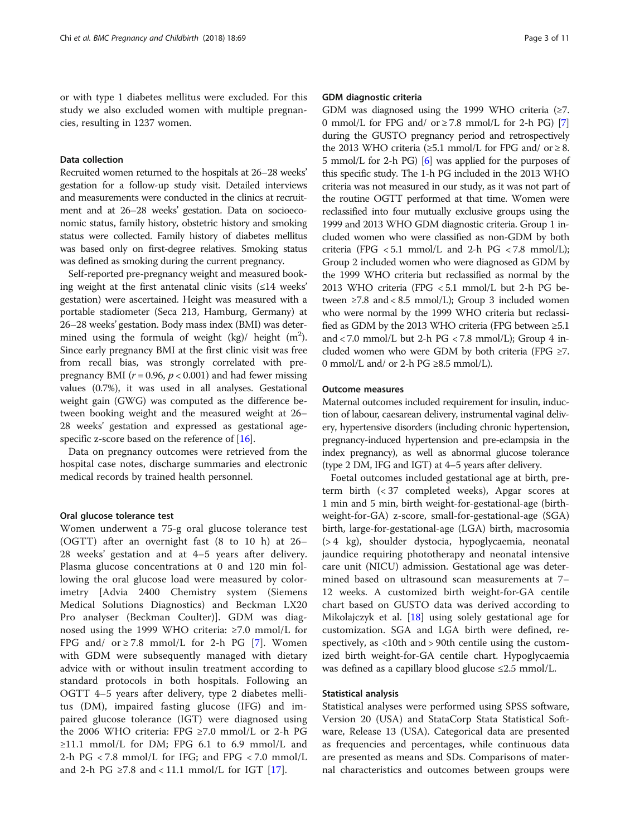or with type 1 diabetes mellitus were excluded. For this study we also excluded women with multiple pregnancies, resulting in 1237 women.

# Data collection

Recruited women returned to the hospitals at 26–28 weeks' gestation for a follow-up study visit. Detailed interviews and measurements were conducted in the clinics at recruitment and at 26–28 weeks' gestation. Data on socioeconomic status, family history, obstetric history and smoking status were collected. Family history of diabetes mellitus was based only on first-degree relatives. Smoking status was defined as smoking during the current pregnancy.

Self-reported pre-pregnancy weight and measured booking weight at the first antenatal clinic visits  $(\leq 14$  weeks' gestation) were ascertained. Height was measured with a portable stadiometer (Seca 213, Hamburg, Germany) at 26–28 weeks' gestation. Body mass index (BMI) was determined using the formula of weight  $(kg)$  height  $(m^2)$ . Since early pregnancy BMI at the first clinic visit was free from recall bias, was strongly correlated with prepregnancy BMI ( $r = 0.96$ ,  $p < 0.001$ ) and had fewer missing values (0.7%), it was used in all analyses. Gestational weight gain (GWG) was computed as the difference between booking weight and the measured weight at 26– 28 weeks' gestation and expressed as gestational age-specific z-score based on the reference of [[16](#page-10-0)].

Data on pregnancy outcomes were retrieved from the hospital case notes, discharge summaries and electronic medical records by trained health personnel.

#### Oral glucose tolerance test

Women underwent a 75-g oral glucose tolerance test (OGTT) after an overnight fast (8 to 10 h) at 26– 28 weeks' gestation and at 4–5 years after delivery. Plasma glucose concentrations at 0 and 120 min following the oral glucose load were measured by colorimetry [Advia 2400 Chemistry system (Siemens Medical Solutions Diagnostics) and Beckman LX20 Pro analyser (Beckman Coulter)]. GDM was diagnosed using the 1999 WHO criteria: ≥7.0 mmol/L for FPG and/ or  $\geq$  7.8 mmol/L for 2-h PG [[7\]](#page-10-0). Women with GDM were subsequently managed with dietary advice with or without insulin treatment according to standard protocols in both hospitals. Following an OGTT 4–5 years after delivery, type 2 diabetes mellitus (DM), impaired fasting glucose (IFG) and impaired glucose tolerance (IGT) were diagnosed using the 2006 WHO criteria: FPG ≥7.0 mmol/L or 2-h PG ≥11.1 mmol/L for DM; FPG 6.1 to 6.9 mmol/L and 2-h PG < 7.8 mmol/L for IFG; and FPG < 7.0 mmol/L and 2-h PG  $\geq$ 7.8 and < 11.1 mmol/L for IGT [\[17](#page-10-0)].

### GDM diagnostic criteria

GDM was diagnosed using the 1999 WHO criteria (≥7. 0 mmol/L for FPG and/ or  $\geq$  [7](#page-10-0).8 mmol/L for 2-h PG) [7] during the GUSTO pregnancy period and retrospectively the 2013 WHO criteria (≥5.1 mmol/L for FPG and/ or  $\geq 8$ . 5 mmol/L for 2-h PG) [\[6](#page-10-0)] was applied for the purposes of this specific study. The 1-h PG included in the 2013 WHO criteria was not measured in our study, as it was not part of the routine OGTT performed at that time. Women were reclassified into four mutually exclusive groups using the 1999 and 2013 WHO GDM diagnostic criteria. Group 1 included women who were classified as non-GDM by both criteria (FPG  $< 5.1$  mmol/L and 2-h PG  $< 7.8$  mmol/L); Group 2 included women who were diagnosed as GDM by the 1999 WHO criteria but reclassified as normal by the 2013 WHO criteria (FPG < 5.1 mmol/L but 2-h PG between  $\geq 7.8$  and < 8.5 mmol/L); Group 3 included women who were normal by the 1999 WHO criteria but reclassified as GDM by the 2013 WHO criteria (FPG between  $\geq 5.1$ ) and  $<$  7.0 mmol/L but 2-h PG  $<$  7.8 mmol/L); Group 4 included women who were GDM by both criteria (FPG ≥7. 0 mmol/L and/ or 2-h PG  $\geq 8.5$  mmol/L).

#### Outcome measures

Maternal outcomes included requirement for insulin, induction of labour, caesarean delivery, instrumental vaginal delivery, hypertensive disorders (including chronic hypertension, pregnancy-induced hypertension and pre-eclampsia in the index pregnancy), as well as abnormal glucose tolerance (type 2 DM, IFG and IGT) at 4–5 years after delivery.

Foetal outcomes included gestational age at birth, preterm birth (< 37 completed weeks), Apgar scores at 1 min and 5 min, birth weight-for-gestational-age (birthweight-for-GA) z-score, small-for-gestational-age (SGA) birth, large-for-gestational-age (LGA) birth, macrosomia (> 4 kg), shoulder dystocia, hypoglycaemia, neonatal jaundice requiring phototherapy and neonatal intensive care unit (NICU) admission. Gestational age was determined based on ultrasound scan measurements at 7– 12 weeks. A customized birth weight-for-GA centile chart based on GUSTO data was derived according to Mikolajczyk et al. [\[18\]](#page-10-0) using solely gestational age for customization. SGA and LGA birth were defined, respectively, as <10th and > 90th centile using the customized birth weight-for-GA centile chart. Hypoglycaemia was defined as a capillary blood glucose ≤2.5 mmol/L.

## Statistical analysis

Statistical analyses were performed using SPSS software, Version 20 (USA) and StataCorp Stata Statistical Software, Release 13 (USA). Categorical data are presented as frequencies and percentages, while continuous data are presented as means and SDs. Comparisons of maternal characteristics and outcomes between groups were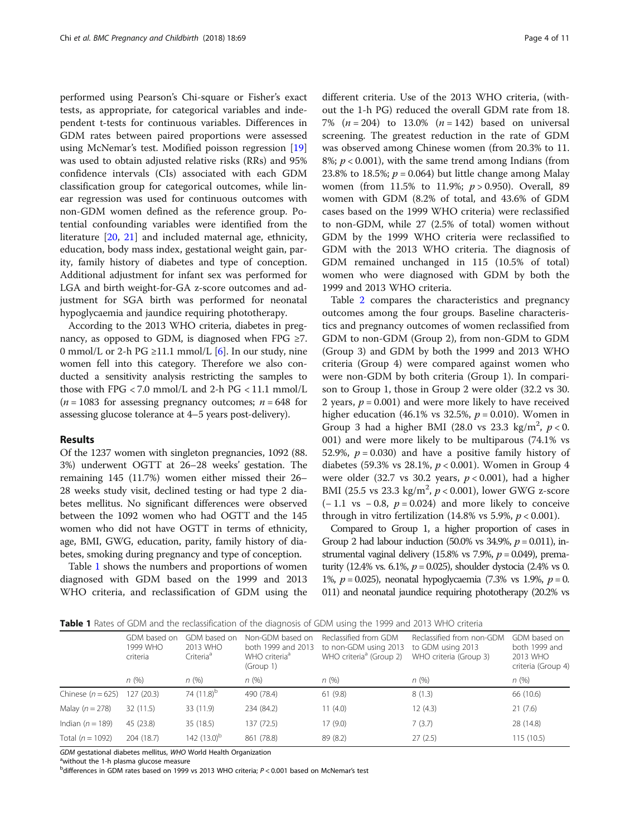performed using Pearson's Chi-square or Fisher's exact tests, as appropriate, for categorical variables and independent t-tests for continuous variables. Differences in GDM rates between paired proportions were assessed using McNemar's test. Modified poisson regression [[19](#page-10-0)] was used to obtain adjusted relative risks (RRs) and 95% confidence intervals (CIs) associated with each GDM classification group for categorical outcomes, while linear regression was used for continuous outcomes with non-GDM women defined as the reference group. Potential confounding variables were identified from the literature [\[20](#page-10-0), [21](#page-10-0)] and included maternal age, ethnicity, education, body mass index, gestational weight gain, parity, family history of diabetes and type of conception. Additional adjustment for infant sex was performed for LGA and birth weight-for-GA z-score outcomes and adjustment for SGA birth was performed for neonatal hypoglycaemia and jaundice requiring phototherapy.

According to the 2013 WHO criteria, diabetes in pregnancy, as opposed to GDM, is diagnosed when FPG  $\geq$ 7. 0 mmol/L or 2-h PG  $\geq$ 11.1 mmol/L [\[6\]](#page-10-0). In our study, nine women fell into this category. Therefore we also conducted a sensitivity analysis restricting the samples to those with FPG  $< 7.0$  mmol/L and 2-h PG  $< 11.1$  mmol/L  $(n = 1083$  for assessing pregnancy outcomes;  $n = 648$  for assessing glucose tolerance at 4–5 years post-delivery).

#### Results

Of the 1237 women with singleton pregnancies, 1092 (88. 3%) underwent OGTT at 26–28 weeks' gestation. The remaining 145 (11.7%) women either missed their 26– 28 weeks study visit, declined testing or had type 2 diabetes mellitus. No significant differences were observed between the 1092 women who had OGTT and the 145 women who did not have OGTT in terms of ethnicity, age, BMI, GWG, education, parity, family history of diabetes, smoking during pregnancy and type of conception.

Table 1 shows the numbers and proportions of women diagnosed with GDM based on the 1999 and 2013 WHO criteria, and reclassification of GDM using the

different criteria. Use of the 2013 WHO criteria, (without the 1-h PG) reduced the overall GDM rate from 18. 7% ( $n = 204$ ) to 13.0% ( $n = 142$ ) based on universal screening. The greatest reduction in the rate of GDM was observed among Chinese women (from 20.3% to 11. 8%;  $p < 0.001$ ), with the same trend among Indians (from 23.8% to 18.5%;  $p = 0.064$ ) but little change among Malay women (from  $11.5\%$  to  $11.9\%$ ;  $p > 0.950$ ). Overall, 89 women with GDM (8.2% of total, and 43.6% of GDM cases based on the 1999 WHO criteria) were reclassified to non-GDM, while 27 (2.5% of total) women without GDM by the 1999 WHO criteria were reclassified to GDM with the 2013 WHO criteria. The diagnosis of GDM remained unchanged in 115 (10.5% of total) women who were diagnosed with GDM by both the 1999 and 2013 WHO criteria.

Table [2](#page-4-0) compares the characteristics and pregnancy outcomes among the four groups. Baseline characteristics and pregnancy outcomes of women reclassified from GDM to non-GDM (Group 2), from non-GDM to GDM (Group 3) and GDM by both the 1999 and 2013 WHO criteria (Group 4) were compared against women who were non-GDM by both criteria (Group 1). In comparison to Group 1, those in Group 2 were older (32.2 vs 30. 2 years,  $p = 0.001$ ) and were more likely to have received higher education (46.1% vs 32.5%,  $p = 0.010$ ). Women in Group 3 had a higher BMI (28.0 vs 23.3 kg/m<sup>2</sup>,  $p < 0$ . 001) and were more likely to be multiparous (74.1% vs 52.9%,  $p = 0.030$  and have a positive family history of diabetes (59.3% vs 28.1%,  $p < 0.001$ ). Women in Group 4 were older (32.7 vs 30.2 years,  $p < 0.001$ ), had a higher BMI (25.5 vs 23.3 kg/m<sup>2</sup>,  $p < 0.001$ ), lower GWG z-score  $(-1.1 \text{ vs } -0.8, p = 0.024)$  and more likely to conceive through in vitro fertilization (14.8% vs 5.9%,  $p < 0.001$ ).

Compared to Group 1, a higher proportion of cases in Group 2 had labour induction (50.0% vs 34.9%,  $p = 0.011$ ), instrumental vaginal delivery (15.8% vs 7.9%,  $p = 0.049$ ), prematurity (12.4% vs. 6.1%,  $p = 0.025$ ), shoulder dystocia (2.4% vs 0. 1%,  $p = 0.025$ ), neonatal hypoglycaemia (7.3% vs 1.9%,  $p = 0$ . 011) and neonatal jaundice requiring phototherapy (20.2% vs

Table 1 Rates of GDM and the reclassification of the diagnosis of GDM using the 1999 and 2013 WHO criteria

|                     | GDM based on<br>1999 WHO<br>criteria | GDM based on<br>2013 WHO<br>Criteria <sup>a</sup> | Non-GDM based on<br>both 1999 and 2013<br>WHO criteria <sup>a</sup><br>(Group 1) | Reclassified from GDM<br>to non-GDM using 2013<br>WHO criteria <sup>a</sup> (Group 2) | Reclassified from non-GDM<br>to GDM using 2013<br>WHO criteria (Group 3) | GDM based on<br>both 1999 and<br>2013 WHO<br>criteria (Group 4) |
|---------------------|--------------------------------------|---------------------------------------------------|----------------------------------------------------------------------------------|---------------------------------------------------------------------------------------|--------------------------------------------------------------------------|-----------------------------------------------------------------|
|                     | n(%)                                 | n(%)                                              | n(%)                                                                             | n(%)                                                                                  | n(%)                                                                     | n(%)                                                            |
| Chinese $(n = 625)$ | 127 (20.3)                           | 74 $(11.8)^{b}$                                   | 490 (78.4)                                                                       | 61(9.8)                                                                               | 8(1.3)                                                                   | 66 (10.6)                                                       |
| Malay $(n = 278)$   | 32 (11.5)                            | 33 (11.9)                                         | 234 (84.2)                                                                       | 11(4.0)                                                                               | 12(4.3)                                                                  | 21(7.6)                                                         |
| Indian $(n = 189)$  | 45 (23.8)                            | 35 (18.5)                                         | 137 (72.5)                                                                       | 17 (9.0)                                                                              | 7(3.7)                                                                   | 28 (14.8)                                                       |
| Total $(n = 1092)$  | 204 (18.7)                           | 142 $(13.0)^b$                                    | 861 (78.8)                                                                       | 89 (8.2)                                                                              | 27(2.5)                                                                  | 115 (10.5)                                                      |

GDM gestational diabetes mellitus, WHO World Health Organization

<sup>a</sup>without the 1-h plasma glucose measure

<sup>b</sup>differences in GDM rates based on 1999 vs 2013 WHO criteria; P < 0.001 based on McNemar's test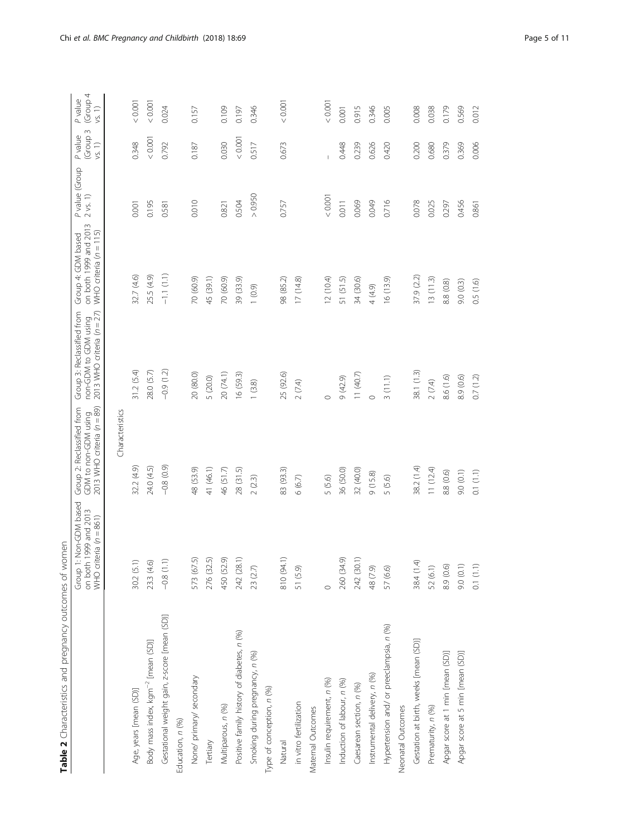<span id="page-4-0"></span>

| Table 2 Characteristics and pregnancy outcomes of women | 1: Non-GDM based<br>on both 1999 and 2013<br>WHO criteria $(n = 861)$<br>Group | 2013 WHO criteria (n = 89)<br>Group 2: Reclassified from<br>GDM to non-GDM using | Group 3: Reclassified from<br>2013 WHO criteria (n = 27)<br>non-GDM to GDM using | on both 1999 and 2013<br>WHO criteria $(n = 115)$<br>Group 4: GDM based | P value (Group<br>$2$ vs. $1)$ | $\sim$<br>(Group<br>P value<br>$vS$ . $ $ | 4<br>(Group<br>P value<br>vS. 1) |
|---------------------------------------------------------|--------------------------------------------------------------------------------|----------------------------------------------------------------------------------|----------------------------------------------------------------------------------|-------------------------------------------------------------------------|--------------------------------|-------------------------------------------|----------------------------------|
|                                                         |                                                                                | Characteristics                                                                  |                                                                                  |                                                                         |                                |                                           |                                  |
| Age, years [mean (SD)]                                  | 30.2 (5.1)                                                                     | 32.2 (4.9)                                                                       | 31.2(5.4)                                                                        | 32.7 (4.6)                                                              | 0.001                          | 0.348                                     | 0.001                            |
| Body mass index, kgm <sup>-2</sup> [mean (SD)]          | 23.3(4.6)                                                                      | 24.0 (4.5)                                                                       | 28.0 (5.7)                                                                       | 25.5 (4.9)                                                              | 0.195                          | 0.001                                     | 0.001                            |
| Gestational weight gain, z-score [mean (SD)]            | $-0.8(1.1)$                                                                    | $-0.8(0.9)$                                                                      | $-0.9(1.2)$                                                                      | $-1.1(1.1)$                                                             | 0.581                          | 0.792                                     | 0.024                            |
| Education, n (%)                                        |                                                                                |                                                                                  |                                                                                  |                                                                         |                                |                                           |                                  |
| None/ primary/ secondary                                | 5<br>573 (67.                                                                  | 48 (53.9)                                                                        | 20 (80.0)                                                                        | 70 (60.9)                                                               | 0.010                          | 0.187                                     | 0.157                            |
| Tertiary                                                | 6<br>276 (32.                                                                  | 41 (46.1)                                                                        | 5 (20.0)                                                                         | 45 (39.1)                                                               |                                |                                           |                                  |
| Multiparous, n (%)                                      | ල.<br>450 (52                                                                  | 46 (51.7)                                                                        | 20 (74.1)                                                                        | 70 (60.9)                                                               | 0.821                          | 0.030                                     | 0.109                            |
| Positive family history of diabetes, n (%)              | 242 (28.1)                                                                     | 28 (31.5)                                                                        | 16 (59.3)                                                                        | 39 (33.9)                                                               | 0.504                          | < 0.001                                   | 0.197                            |
| Smoking during pregnancy, n (%)                         | 23(2.7)                                                                        | 2(2.3)                                                                           | 1(3.8)                                                                           | (6.0) 1                                                                 | > 0.950                        | 0.517                                     | 0.346                            |
| Type of conception, n (%)                               |                                                                                |                                                                                  |                                                                                  |                                                                         |                                |                                           |                                  |
| Natural                                                 | 810 (94.1)                                                                     | 83 (93.3)                                                                        | 25 (92.6)                                                                        | 98 (85.2)                                                               | 0.757                          | 0.673                                     | 0.001                            |
| in vitro fertilization                                  | 51 (5.9)                                                                       | 6(6.7)                                                                           | 2(7.4)                                                                           | 17(14.8)                                                                |                                |                                           |                                  |
| Maternal Outcomes                                       |                                                                                |                                                                                  |                                                                                  |                                                                         |                                |                                           |                                  |
| Insulin requirement, n (%)                              | $\circ$                                                                        | 5 (5.6)                                                                          | $\circ$                                                                          | 12 (10.4)                                                               | 0.001                          |                                           | 0.001                            |
| Induction of labour, n (%)                              | 260 (34.9)                                                                     | 36 (50.0)                                                                        | 9(42.9)                                                                          | 51 (51.5)                                                               | 0.011                          | 0.448                                     | 0.001                            |
| Caesarean section, n (%)                                | 242 (30.1)                                                                     | 32 (40.0)                                                                        | 11(40.7)                                                                         | 34 (30.6)                                                               | 0.069                          | 0.239                                     | 0.915                            |
| Instrumental delivery, n (%)                            | 48 (7.9)                                                                       | 9(15.8)                                                                          | $\circ$                                                                          | 4 (4.9)                                                                 | 0.049                          | 0.626                                     | 0.346                            |
| Hypertension and/ or preeclampsia, n (%)                | 57 (6.6)                                                                       | 5 (5.6)                                                                          | 3(11.1)                                                                          | 16(13.9)                                                                | 0.716                          | 0.420                                     | 0.005                            |
| Neonatal Outcomes                                       |                                                                                |                                                                                  |                                                                                  |                                                                         |                                |                                           |                                  |
| Gestation at birth, weeks [mean (SD)]                   | 38.4 (1.4)                                                                     | 38.2 (1.4)                                                                       | 38.1 (1.3)                                                                       | 37.9 (2.2)                                                              | 0.078                          | 0.200                                     | 0.008                            |
| Prematurity, n (%)                                      | 52 (6.1)                                                                       | 11(12.4)                                                                         | 2(7.4)                                                                           | 13(11.3)                                                                | 0.025                          | 0.680                                     | 0.038                            |
| Apgar score at 1 min [mean (SD)]                        | 8.9 (0.6)                                                                      | 8.8 (0.6)                                                                        | 8.6 (1.6)                                                                        | 8.8 (0.8)                                                               | 0.297                          | 0.379                                     | 0.179                            |
| Apgar score at 5 min [mean (SD)]                        | 9.0(0.1)                                                                       | 9.0 (0.1)                                                                        | 8.9 (0.6)                                                                        | 9.0(0.3)                                                                | 0.456                          | 0.369                                     | 0.569                            |
|                                                         | 0.1(1.1)                                                                       | 0.1(1.1)                                                                         | 0.7(1.2)                                                                         | 0.5(1.6)                                                                | 0.861                          | 0.006                                     | 0.012                            |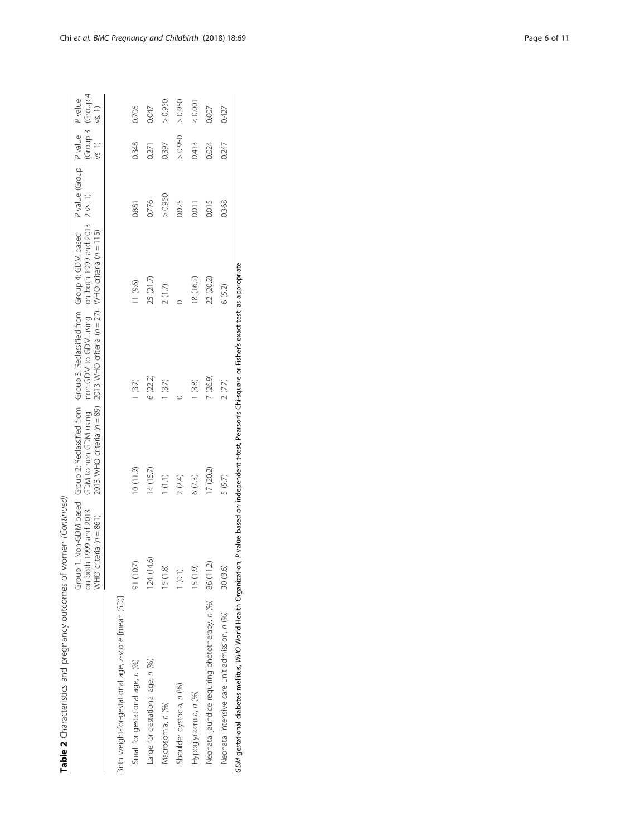| Table 2 Characteristics and pregnancy outcomes of women (Continued)                                                                                                |                                                 |                                                                                                 |                                                                                                                           |                                |                                |                             |         |
|--------------------------------------------------------------------------------------------------------------------------------------------------------------------|-------------------------------------------------|-------------------------------------------------------------------------------------------------|---------------------------------------------------------------------------------------------------------------------------|--------------------------------|--------------------------------|-----------------------------|---------|
|                                                                                                                                                                    | on both 1999 and 2013<br>WHO criteria (n = 861) | Group 1: Non-GDM based Group 2: Reclassified from Group 3: Reclassified from Group 4: GDM based | 2013 WHO criteria (n = 89) 2013 WHO criteria (n = 27) WHO criteria (n = 115)<br>GDM to non-GDM using non-GDM to GDM using | on both 1999 and 2013 2 vs. 1) | P value (Group P value P value | (Group 3 (Group 4<br>vs. 1) | vs. 1)  |
| Birth weight-for-gestational age, z-score [mean (SD)]                                                                                                              |                                                 |                                                                                                 |                                                                                                                           |                                |                                |                             |         |
| Small for gestational age, n (%)                                                                                                                                   | 91 (10.7)                                       | 10(11.2)                                                                                        | 1(3.7)                                                                                                                    | (1 (9.6)                       | 0.881                          | 0.348                       | 0.706   |
| Large for gestational age, n (%)                                                                                                                                   | 124 (14.6)                                      | 14(15.7)                                                                                        | 6(22.2)                                                                                                                   | 25 (21.7)                      | 0.776                          | 0.271                       | 0.047   |
| Macrosomia, n (%)                                                                                                                                                  | 15(1.8)                                         | (1.1)                                                                                           | 1(3.7)                                                                                                                    | 2(1.7)                         | > 0.950                        | 0.397                       | > 0.950 |
| Shoulder dystocia, n (%)                                                                                                                                           | (0.1)                                           | 2(2.4)                                                                                          |                                                                                                                           |                                | 0.025                          | > 0.950                     | 0.950 < |
| Hypoglycaemia, n (%)                                                                                                                                               | (0.15)                                          | 6(73)                                                                                           | (3.8)                                                                                                                     | 18 (16.2)                      | 0.011                          | 0.413                       | < 0.001 |
| Neonatal jaundice requiring phototherapy, n (%) 86 (11.2)                                                                                                          |                                                 | 17(20.2)                                                                                        | 7 (26.9)                                                                                                                  | 22 (20.2)                      | 0.015                          | 0.024                       | 0.007   |
| Neonatal intensive care unit admission, n (%)                                                                                                                      | 30 (3.6)                                        | 5 (5.7)                                                                                         | $2(7.7)$                                                                                                                  | 6(5.2)                         | 0.368                          | 0.247                       | 0.427   |
| GDM gestational diabetes mellitus, WHO World Health Organization, P value based on independent t-test, Pearson's Chi-square or Fisher's exact test, as appropriate |                                                 |                                                                                                 |                                                                                                                           |                                |                                |                             |         |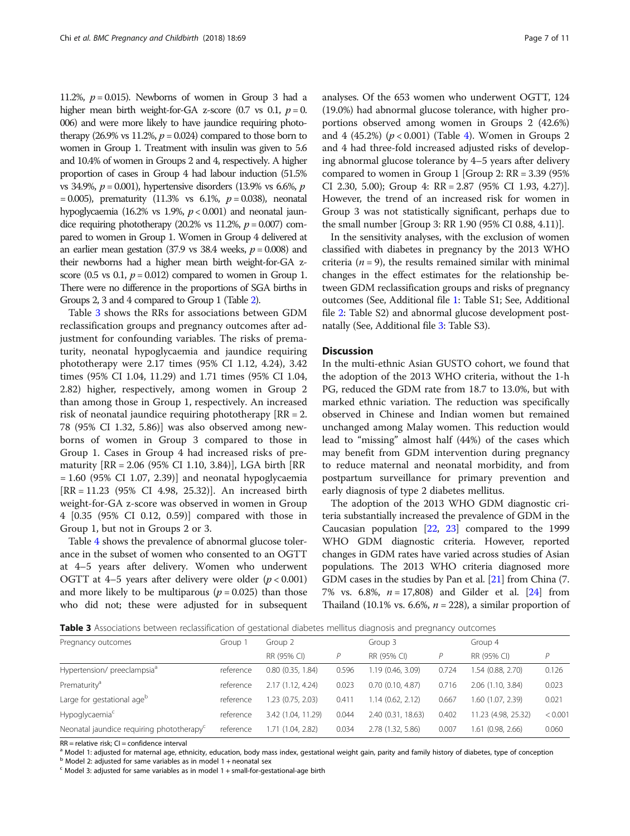11.2%,  $p = 0.015$ ). Newborns of women in Group 3 had a higher mean birth weight-for-GA z-score (0.7 vs 0.1,  $p = 0$ . 006) and were more likely to have jaundice requiring phototherapy (26.9% vs 11.2%,  $p = 0.024$ ) compared to those born to women in Group 1. Treatment with insulin was given to 5.6 and 10.4% of women in Groups 2 and 4, respectively. A higher proportion of cases in Group 4 had labour induction (51.5% vs 34.9%,  $p = 0.001$ ), hypertensive disorders (13.9% vs 6.6%,  $p$ )  $= 0.005$ ), prematurity (11.3% vs 6.1%,  $p = 0.038$ ), neonatal hypoglycaemia (16.2% vs 1.9%,  $p < 0.001$ ) and neonatal jaundice requiring phototherapy (20.2% vs 11.2%,  $p = 0.007$ ) compared to women in Group 1. Women in Group 4 delivered at an earlier mean gestation (37.9 vs 38.4 weeks,  $p = 0.008$ ) and their newborns had a higher mean birth weight-for-GA zscore (0.5 vs 0.1,  $p = 0.012$ ) compared to women in Group 1. There were no difference in the proportions of SGA births in Groups 2, 3 and 4 compared to Group 1 (Table [2\)](#page-4-0).

Table 3 shows the RRs for associations between GDM reclassification groups and pregnancy outcomes after adjustment for confounding variables. The risks of prematurity, neonatal hypoglycaemia and jaundice requiring phototherapy were 2.17 times (95% CI 1.12, 4.24), 3.42 times (95% CI 1.04, 11.29) and 1.71 times (95% CI 1.04, 2.82) higher, respectively, among women in Group 2 than among those in Group 1, respectively. An increased risk of neonatal jaundice requiring phototherapy  $[RR = 2$ . 78 (95% CI 1.32, 5.86)] was also observed among newborns of women in Group 3 compared to those in Group 1. Cases in Group 4 had increased risks of prematurity [RR = 2.06 (95% CI 1.10, 3.84)], LGA birth [RR = 1.60 (95% CI 1.07, 2.39)] and neonatal hypoglycaemia [RR = 11.23 (95% CI 4.98, 25.32)]. An increased birth weight-for-GA z-score was observed in women in Group 4 [0.35 (95% CI 0.12, 0.59)] compared with those in Group 1, but not in Groups 2 or 3.

Table [4](#page-7-0) shows the prevalence of abnormal glucose tolerance in the subset of women who consented to an OGTT at 4–5 years after delivery. Women who underwent OGTT at 4–5 years after delivery were older  $(p < 0.001)$ and more likely to be multiparous ( $p = 0.025$ ) than those who did not; these were adjusted for in subsequent analyses. Of the 653 women who underwent OGTT, 124 (19.0%) had abnormal glucose tolerance, with higher proportions observed among women in Groups 2 (42.6%) and 4 (45.2%)  $(p < 0.001)$  (Table [4\)](#page-7-0). Women in Groups 2 and 4 had three-fold increased adjusted risks of developing abnormal glucose tolerance by 4–5 years after delivery compared to women in Group 1 [Group 2:  $RR = 3.39$  (95%) CI 2.30, 5.00); Group 4: RR = 2.87 (95% CI 1.93, 4.27)]. However, the trend of an increased risk for women in Group 3 was not statistically significant, perhaps due to the small number [Group 3: RR 1.90 (95% CI 0.88, 4.11)].

In the sensitivity analyses, with the exclusion of women classified with diabetes in pregnancy by the 2013 WHO criteria ( $n = 9$ ), the results remained similar with minimal changes in the effect estimates for the relationship between GDM reclassification groups and risks of pregnancy outcomes (See, Additional file [1](#page-8-0): Table S1; See, Additional file [2:](#page-8-0) Table S2) and abnormal glucose development postnatally (See, Additional file [3](#page-9-0): Table S3).

# **Discussion**

In the multi-ethnic Asian GUSTO cohort, we found that the adoption of the 2013 WHO criteria, without the 1-h PG, reduced the GDM rate from 18.7 to 13.0%, but with marked ethnic variation. The reduction was specifically observed in Chinese and Indian women but remained unchanged among Malay women. This reduction would lead to "missing" almost half (44%) of the cases which may benefit from GDM intervention during pregnancy to reduce maternal and neonatal morbidity, and from postpartum surveillance for primary prevention and early diagnosis of type 2 diabetes mellitus.

The adoption of the 2013 WHO GDM diagnostic criteria substantially increased the prevalence of GDM in the Caucasian population [[22](#page-10-0), [23](#page-10-0)] compared to the 1999 WHO GDM diagnostic criteria. However, reported changes in GDM rates have varied across studies of Asian populations. The 2013 WHO criteria diagnosed more GDM cases in the studies by Pan et al. [\[21](#page-10-0)] from China (7. 7% vs. 6.8%,  $n = 17,808$  and Gilder et al.  $[24]$  from Thailand (10.1% vs. 6.6%,  $n = 228$ ), a similar proportion of

Table 3 Associations between reclassification of gestational diabetes mellitus diagnosis and pregnancy outcomes

| D                   |
|---------------------|
| 0.126               |
| 0.023               |
| 0.021               |
| < 0.001             |
| 0.060               |
| 11.23 (4.98, 25.32) |

RR = relative risk; CI = confidence interval

<sup>a</sup> Model 1: adjusted for maternal age, ethnicity, education, body mass index, gestational weight gain, parity and family history of diabetes, type of conception by delabetes have all the model 1 + neonatal sex

 $\epsilon$  Model 3: adjusted for same variables as in model 1 + small-for-gestational-age birth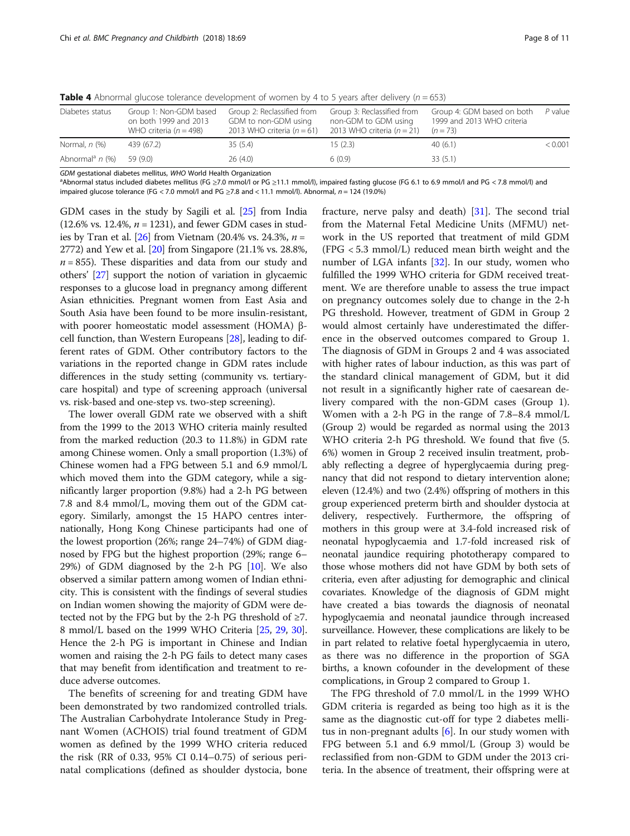| Diabetes status             | Group 1: Non-GDM based<br>on both 1999 and 2013<br>WHO criteria ( $n = 498$ ) | Group 2: Reclassified from<br>GDM to non-GDM using<br>2013 WHO criteria $(n = 61)$ | Group 3: Reclassified from<br>non-GDM to GDM using<br>2013 WHO criteria $(n = 21)$ | Group 4: GDM based on both<br>1999 and 2013 WHO criteria<br>$(n = 73)$ | $P$ value |
|-----------------------------|-------------------------------------------------------------------------------|------------------------------------------------------------------------------------|------------------------------------------------------------------------------------|------------------------------------------------------------------------|-----------|
| Normal, n (%)               | 439 (67.2)                                                                    | 35(5.4)                                                                            | 15(2.3)                                                                            | 40(6.1)                                                                | < 0.001   |
| Abnormal <sup>a</sup> n (%) | 59 (9.0)                                                                      | 26(4.0)                                                                            | 6(0.9)                                                                             | 33(5.1)                                                                |           |

<span id="page-7-0"></span>**Table 4** Abnormal glucose tolerance development of women by 4 to 5 years after delivery ( $n = 653$ )

GDM gestational diabetes mellitus, WHO World Health Organization<br>ªAbnormal status included diabetes mellitus (FG ≥7.0 mmol/l or PG ≥11.1 mmol/l), impaired fasting glucose (FG 6.1 to 6.9 mmol/l and PG < 7.8 mmol/l) and impaired glucose tolerance (FG < 7.0 mmol/l and PG ≥7.8 and < 11.1 mmol/l). Abnormal, n = 124 (19.0%)

GDM cases in the study by Sagili et al. [[25](#page-10-0)] from India (12.6% vs. 12.4%,  $n = 1231$ ), and fewer GDM cases in stud-ies by Tran et al. [\[26\]](#page-10-0) from Vietnam (20.4% vs. 24.3%,  $n =$ 2772) and Yew et al. [\[20](#page-10-0)] from Singapore (21.1% vs. 28.8%,  $n = 855$ ). These disparities and data from our study and others' [\[27](#page-10-0)] support the notion of variation in glycaemic responses to a glucose load in pregnancy among different Asian ethnicities. Pregnant women from East Asia and South Asia have been found to be more insulin-resistant, with poorer homeostatic model assessment (HOMA) βcell function, than Western Europeans [[28](#page-10-0)], leading to different rates of GDM. Other contributory factors to the variations in the reported change in GDM rates include differences in the study setting (community vs. tertiarycare hospital) and type of screening approach (universal vs. risk-based and one-step vs. two-step screening).

The lower overall GDM rate we observed with a shift from the 1999 to the 2013 WHO criteria mainly resulted from the marked reduction (20.3 to 11.8%) in GDM rate among Chinese women. Only a small proportion (1.3%) of Chinese women had a FPG between 5.1 and 6.9 mmol/L which moved them into the GDM category, while a significantly larger proportion (9.8%) had a 2-h PG between 7.8 and 8.4 mmol/L, moving them out of the GDM category. Similarly, amongst the 15 HAPO centres internationally, Hong Kong Chinese participants had one of the lowest proportion (26%; range 24–74%) of GDM diagnosed by FPG but the highest proportion (29%; range 6– 29%) of GDM diagnosed by the 2-h PG  $[10]$  $[10]$  $[10]$ . We also observed a similar pattern among women of Indian ethnicity. This is consistent with the findings of several studies on Indian women showing the majority of GDM were detected not by the FPG but by the 2-h PG threshold of  $\geq 7$ . 8 mmol/L based on the 1999 WHO Criteria [\[25,](#page-10-0) [29](#page-10-0), [30](#page-10-0)]. Hence the 2-h PG is important in Chinese and Indian women and raising the 2-h PG fails to detect many cases that may benefit from identification and treatment to reduce adverse outcomes.

The benefits of screening for and treating GDM have been demonstrated by two randomized controlled trials. The Australian Carbohydrate Intolerance Study in Pregnant Women (ACHOIS) trial found treatment of GDM women as defined by the 1999 WHO criteria reduced the risk (RR of 0.33, 95% CI 0.14–0.75) of serious perinatal complications (defined as shoulder dystocia, bone fracture, nerve palsy and death) [[31\]](#page-10-0). The second trial from the Maternal Fetal Medicine Units (MFMU) network in the US reported that treatment of mild GDM (FPG < 5.3 mmol/L) reduced mean birth weight and the number of LGA infants [[32](#page-10-0)]. In our study, women who fulfilled the 1999 WHO criteria for GDM received treatment. We are therefore unable to assess the true impact on pregnancy outcomes solely due to change in the 2-h PG threshold. However, treatment of GDM in Group 2 would almost certainly have underestimated the difference in the observed outcomes compared to Group 1. The diagnosis of GDM in Groups 2 and 4 was associated with higher rates of labour induction, as this was part of the standard clinical management of GDM, but it did not result in a significantly higher rate of caesarean delivery compared with the non-GDM cases (Group 1). Women with a 2-h PG in the range of 7.8–8.4 mmol/L (Group 2) would be regarded as normal using the 2013 WHO criteria 2-h PG threshold. We found that five (5. 6%) women in Group 2 received insulin treatment, probably reflecting a degree of hyperglycaemia during pregnancy that did not respond to dietary intervention alone; eleven (12.4%) and two (2.4%) offspring of mothers in this group experienced preterm birth and shoulder dystocia at delivery, respectively. Furthermore, the offspring of mothers in this group were at 3.4-fold increased risk of neonatal hypoglycaemia and 1.7-fold increased risk of neonatal jaundice requiring phototherapy compared to those whose mothers did not have GDM by both sets of criteria, even after adjusting for demographic and clinical covariates. Knowledge of the diagnosis of GDM might have created a bias towards the diagnosis of neonatal hypoglycaemia and neonatal jaundice through increased surveillance. However, these complications are likely to be in part related to relative foetal hyperglycaemia in utero, as there was no difference in the proportion of SGA births, a known cofounder in the development of these complications, in Group 2 compared to Group 1.

The FPG threshold of 7.0 mmol/L in the 1999 WHO GDM criteria is regarded as being too high as it is the same as the diagnostic cut-off for type 2 diabetes mellitus in non-pregnant adults  $[6]$  $[6]$ . In our study women with FPG between 5.1 and 6.9 mmol/L (Group 3) would be reclassified from non-GDM to GDM under the 2013 criteria. In the absence of treatment, their offspring were at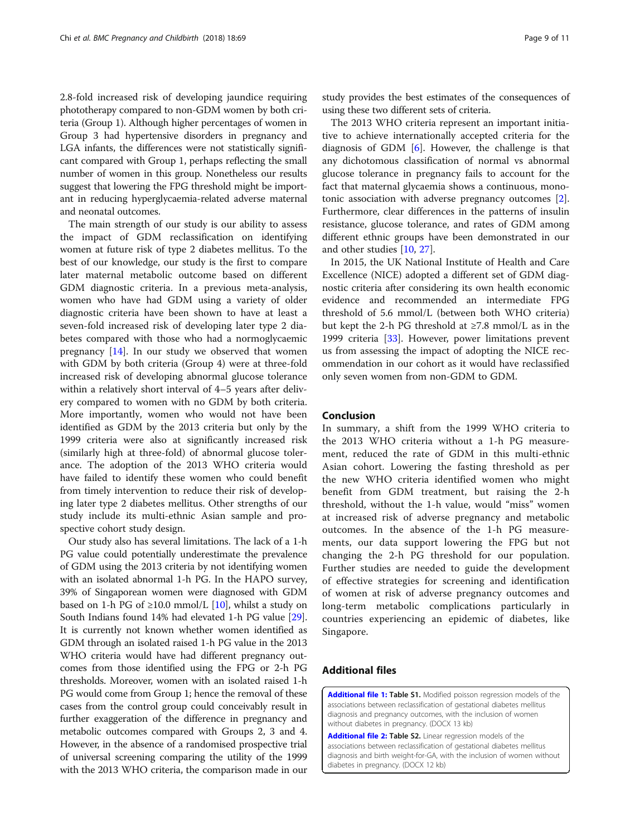<span id="page-8-0"></span>2.8-fold increased risk of developing jaundice requiring phototherapy compared to non-GDM women by both criteria (Group 1). Although higher percentages of women in Group 3 had hypertensive disorders in pregnancy and LGA infants, the differences were not statistically significant compared with Group 1, perhaps reflecting the small number of women in this group. Nonetheless our results suggest that lowering the FPG threshold might be important in reducing hyperglycaemia-related adverse maternal and neonatal outcomes.

The main strength of our study is our ability to assess the impact of GDM reclassification on identifying women at future risk of type 2 diabetes mellitus. To the best of our knowledge, our study is the first to compare later maternal metabolic outcome based on different GDM diagnostic criteria. In a previous meta-analysis, women who have had GDM using a variety of older diagnostic criteria have been shown to have at least a seven-fold increased risk of developing later type 2 diabetes compared with those who had a normoglycaemic pregnancy [\[14](#page-10-0)]. In our study we observed that women with GDM by both criteria (Group 4) were at three-fold increased risk of developing abnormal glucose tolerance within a relatively short interval of 4–5 years after delivery compared to women with no GDM by both criteria. More importantly, women who would not have been identified as GDM by the 2013 criteria but only by the 1999 criteria were also at significantly increased risk (similarly high at three-fold) of abnormal glucose tolerance. The adoption of the 2013 WHO criteria would have failed to identify these women who could benefit from timely intervention to reduce their risk of developing later type 2 diabetes mellitus. Other strengths of our study include its multi-ethnic Asian sample and prospective cohort study design.

Our study also has several limitations. The lack of a 1-h PG value could potentially underestimate the prevalence of GDM using the 2013 criteria by not identifying women with an isolated abnormal 1-h PG. In the HAPO survey, 39% of Singaporean women were diagnosed with GDM based on 1-h PG of  $\geq$ 10.0 mmol/L [\[10\]](#page-10-0), whilst a study on South Indians found 14% had elevated 1-h PG value [[29](#page-10-0)]. It is currently not known whether women identified as GDM through an isolated raised 1-h PG value in the 2013 WHO criteria would have had different pregnancy outcomes from those identified using the FPG or 2-h PG thresholds. Moreover, women with an isolated raised 1-h PG would come from Group 1; hence the removal of these cases from the control group could conceivably result in further exaggeration of the difference in pregnancy and metabolic outcomes compared with Groups 2, 3 and 4. However, in the absence of a randomised prospective trial of universal screening comparing the utility of the 1999 with the 2013 WHO criteria, the comparison made in our study provides the best estimates of the consequences of using these two different sets of criteria.

The 2013 WHO criteria represent an important initiative to achieve internationally accepted criteria for the diagnosis of GDM [[6\]](#page-10-0). However, the challenge is that any dichotomous classification of normal vs abnormal glucose tolerance in pregnancy fails to account for the fact that maternal glycaemia shows a continuous, monotonic association with adverse pregnancy outcomes [\[2](#page-9-0)]. Furthermore, clear differences in the patterns of insulin resistance, glucose tolerance, and rates of GDM among different ethnic groups have been demonstrated in our and other studies [[10](#page-10-0), [27](#page-10-0)].

In 2015, the UK National Institute of Health and Care Excellence (NICE) adopted a different set of GDM diagnostic criteria after considering its own health economic evidence and recommended an intermediate FPG threshold of 5.6 mmol/L (between both WHO criteria) but kept the 2-h PG threshold at  $\geq 7.8$  mmol/L as in the 1999 criteria [\[33\]](#page-10-0). However, power limitations prevent us from assessing the impact of adopting the NICE recommendation in our cohort as it would have reclassified only seven women from non-GDM to GDM.

## Conclusion

In summary, a shift from the 1999 WHO criteria to the 2013 WHO criteria without a 1-h PG measurement, reduced the rate of GDM in this multi-ethnic Asian cohort. Lowering the fasting threshold as per the new WHO criteria identified women who might benefit from GDM treatment, but raising the 2-h threshold, without the 1-h value, would "miss" women at increased risk of adverse pregnancy and metabolic outcomes. In the absence of the 1-h PG measurements, our data support lowering the FPG but not changing the 2-h PG threshold for our population. Further studies are needed to guide the development of effective strategies for screening and identification of women at risk of adverse pregnancy outcomes and long-term metabolic complications particularly in countries experiencing an epidemic of diabetes, like Singapore.

# Additional files

[Additional file 1:](https://doi.org/10.1186/s12884-018-1707-3) Table S1. Modified poisson regression models of the associations between reclassification of gestational diabetes mellitus diagnosis and pregnancy outcomes, with the inclusion of women without diabetes in pregnancy. (DOCX 13 kb)

[Additional file 2:](https://doi.org/10.1186/s12884-018-1707-3) Table S2. Linear regression models of the associations between reclassification of gestational diabetes mellitus diagnosis and birth weight-for-GA, with the inclusion of women without diabetes in pregnancy. (DOCX 12 kb)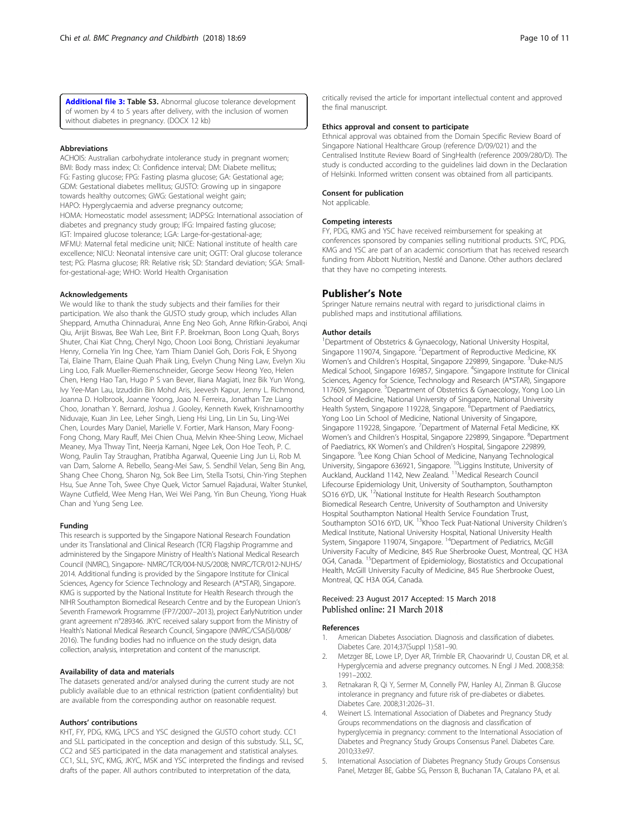<span id="page-9-0"></span>[Additional file 3:](https://doi.org/10.1186/s12884-018-1707-3) Table S3. Abnormal glucose tolerance development of women by 4 to 5 years after delivery, with the inclusion of women without diabetes in pregnancy. (DOCX 12 kb)

## Abbreviations

ACHOIS: Australian carbohydrate intolerance study in pregnant women; BMI: Body mass index; CI: Confidence interval; DM: Diabete mellitus; FG: Fasting glucose; FPG: Fasting plasma glucose; GA: Gestational age; GDM: Gestational diabetes mellitus; GUSTO: Growing up in singapore towards healthy outcomes; GWG: Gestational weight gain; HAPO: Hyperglycaemia and adverse pregnancy outcome; HOMA: Homeostatic model assessment; IADPSG: International association of diabetes and pregnancy study group; IFG: Impaired fasting glucose; IGT: Impaired glucose tolerance; LGA: Large-for-gestational-age; MFMU: Maternal fetal medicine unit; NICE: National institute of health care excellence; NICU: Neonatal intensive care unit; OGTT: Oral glucose tolerance test; PG: Plasma glucose; RR: Relative risk; SD: Standard deviation; SGA: Smallfor-gestational-age; WHO: World Health Organisation

#### Acknowledgements

We would like to thank the study subjects and their families for their participation. We also thank the GUSTO study group, which includes Allan Sheppard, Amutha Chinnadurai, Anne Eng Neo Goh, Anne Rifkin-Graboi, Anqi Qiu, Arijit Biswas, Bee Wah Lee, Birit F.P. Broekman, Boon Long Quah, Borys Shuter, Chai Kiat Chng, Cheryl Ngo, Choon Looi Bong, Christiani Jeyakumar Henry, Cornelia Yin Ing Chee, Yam Thiam Daniel Goh, Doris Fok, E Shyong Tai, Elaine Tham, Elaine Quah Phaik Ling, Evelyn Chung Ning Law, Evelyn Xiu Ling Loo, Falk Mueller-Riemenschneider, George Seow Heong Yeo, Helen Chen, Heng Hao Tan, Hugo P S van Bever, Iliana Magiati, Inez Bik Yun Wong, Ivy Yee-Man Lau, Izzuddin Bin Mohd Aris, Jeevesh Kapur, Jenny L. Richmond, Joanna D. Holbrook, Joanne Yoong, Joao N. Ferreira., Jonathan Tze Liang Choo, Jonathan Y. Bernard, Joshua J. Gooley, Kenneth Kwek, Krishnamoorthy Niduvaje, Kuan Jin Lee, Leher Singh, Lieng Hsi Ling, Lin Lin Su, Ling-Wei Chen, Lourdes Mary Daniel, Marielle V. Fortier, Mark Hanson, Mary Foong-Fong Chong, Mary Rauff, Mei Chien Chua, Melvin Khee-Shing Leow, Michael Meaney, Mya Thway Tint, Neerja Karnani, Ngee Lek, Oon Hoe Teoh, P. C. Wong, Paulin Tay Straughan, Pratibha Agarwal, Queenie Ling Jun Li, Rob M. van Dam, Salome A. Rebello, Seang-Mei Saw, S. Sendhil Velan, Seng Bin Ang, Shang Chee Chong, Sharon Ng, Sok Bee Lim, Stella Tsotsi, Chin-Ying Stephen Hsu, Sue Anne Toh, Swee Chye Quek, Victor Samuel Rajadurai, Walter Stunkel, Wayne Cutfield, Wee Meng Han, Wei Wei Pang, Yin Bun Cheung, Yiong Huak Chan and Yung Seng Lee.

#### Funding

This research is supported by the Singapore National Research Foundation under its Translational and Clinical Research (TCR) Flagship Programme and administered by the Singapore Ministry of Health's National Medical Research Council (NMRC), Singapore- NMRC/TCR/004-NUS/2008; NMRC/TCR/012-NUHS/ 2014. Additional funding is provided by the Singapore Institute for Clinical Sciences, Agency for Science Technology and Research (A\*STAR), Singapore. KMG is supported by the National Institute for Health Research through the NIHR Southampton Biomedical Research Centre and by the European Union's Seventh Framework Programme (FP7/2007–2013), project EarlyNutrition under grant agreement n°289346. JKYC received salary support from the Ministry of Health's National Medical Research Council, Singapore (NMRC/CSA(SI)/008/ 2016). The funding bodies had no influence on the study design, data collection, analysis, interpretation and content of the manuscript.

#### Availability of data and materials

The datasets generated and/or analysed during the current study are not publicly available due to an ethnical restriction (patient confidentiality) but are available from the corresponding author on reasonable request.

#### Authors' contributions

KHT, FY, PDG, KMG, LPCS and YSC designed the GUSTO cohort study. CC1 and SLL participated in the conception and design of this substudy. SLL, SC, CC2 and SES participated in the data management and statistical analyses. CC1, SLL, SYC, KMG, JKYC, MSK and YSC interpreted the findings and revised drafts of the paper. All authors contributed to interpretation of the data,

#### Ethics approval and consent to participate

Ethnical approval was obtained from the Domain Specific Review Board of Singapore National Healthcare Group (reference D/09/021) and the Centralised Institute Review Board of SingHealth (reference 2009/280/D). The study is conducted according to the guidelines laid down in the Declaration of Helsinki. Informed written consent was obtained from all participants.

#### Consent for publication

Not applicable.

#### Competing interests

FY, PDG, KMG and YSC have received reimbursement for speaking at conferences sponsored by companies selling nutritional products. SYC, PDG, KMG and YSC are part of an academic consortium that has received research funding from Abbott Nutrition, Nestlé and Danone. Other authors declared that they have no competing interests.

### Publisher's Note

Springer Nature remains neutral with regard to jurisdictional claims in published maps and institutional affiliations.

#### Author details

<sup>1</sup>Department of Obstetrics & Gynaecology, National University Hospital, Singapore 119074, Singapore. <sup>2</sup>Department of Reproductive Medicine, KK Women's and Children's Hospital, Singapore 229899, Singapore. <sup>3</sup>Duke-NUS Medical School, Singapore 169857, Singapore. <sup>4</sup>Singapore Institute for Clinical Sciences, Agency for Science, Technology and Research (A\*STAR), Singapore 117609, Singapore. <sup>5</sup>Department of Obstetrics & Gynaecology, Yong Loo Lin School of Medicine, National University of Singapore, National University Health System, Singapore 119228, Singapore. <sup>6</sup>Department of Paediatrics, Yong Loo Lin School of Medicine, National University of Singapore, Singapore 119228, Singapore. <sup>7</sup>Department of Maternal Fetal Medicine, KK Women's and Children's Hospital, Singapore 229899, Singapore. <sup>8</sup>Department of Paediatrics, KK Women's and Children's Hospital, Singapore 229899, Singapore. <sup>9</sup>Lee Kong Chian School of Medicine, Nanyang Technological University, Singapore 636921, Singapore. <sup>10</sup>Liggins Institute, University of Auckland, Auckland 1142, New Zealand. 11Medical Research Council Lifecourse Epidemiology Unit, University of Southampton, Southampton SO16 6YD, UK.<sup>12</sup>National Institute for Health Research Southampton Biomedical Research Centre, University of Southampton and University Hospital Southampton National Health Service Foundation Trust, Southampton SO16 6YD, UK. 13Khoo Teck Puat-National University Children's Medical Institute, National University Hospital, National University Health System, Singapore 119074, Singapore. <sup>14</sup>Department of Pediatrics, McGill University Faculty of Medicine, 845 Rue Sherbrooke Ouest, Montreal, QC H3A 0G4, Canada. <sup>15</sup>Department of Epidemiology, Biostatistics and Occupational Health, McGill University Faculty of Medicine, 845 Rue Sherbrooke Ouest, Montreal, QC H3A 0G4, Canada.

# Received: 23 August 2017 Accepted: 15 March 2018 Published online: 21 March 2018

#### References

- 1. American Diabetes Association. Diagnosis and classification of diabetes. Diabetes Care. 2014;37(Suppl 1):S81–90.
- 2. Metzger BE, Lowe LP, Dyer AR, Trimble ER, Chaovarindr U, Coustan DR, et al. Hyperglycemia and adverse pregnancy outcomes. N Engl J Med. 2008;358: 1991–2002.
- Retnakaran R, Qi Y, Sermer M, Connelly PW, Hanley AJ, Zinman B. Glucose intolerance in pregnancy and future risk of pre-diabetes or diabetes. Diabetes Care. 2008;31:2026–31.
- 4. Weinert LS. International Association of Diabetes and Pregnancy Study Groups recommendations on the diagnosis and classification of hyperglycemia in pregnancy: comment to the International Association of Diabetes and Pregnancy Study Groups Consensus Panel. Diabetes Care. 2010;33:e97.
- 5. International Association of Diabetes Pregnancy Study Groups Consensus Panel, Metzger BE, Gabbe SG, Persson B, Buchanan TA, Catalano PA, et al.